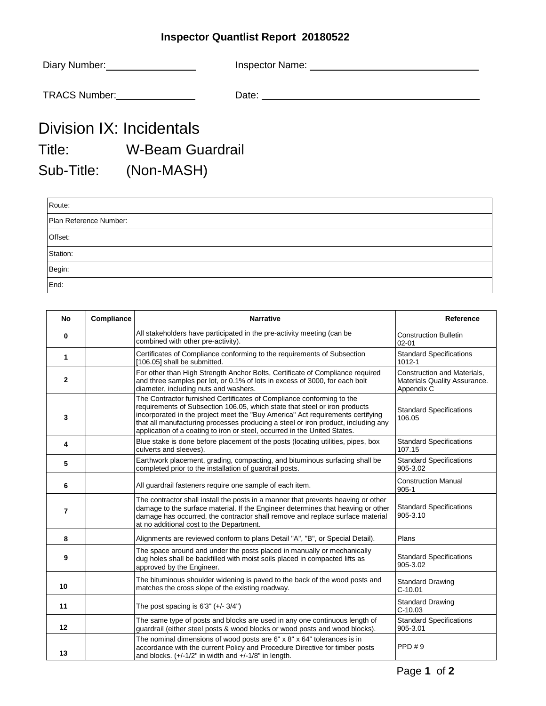## **Inspector Quantlist Report 20180522**

|                                                                                                                | Diary Number: ___________________ |  |
|----------------------------------------------------------------------------------------------------------------|-----------------------------------|--|
|                                                                                                                | TRACS Number: 1997-1998           |  |
|                                                                                                                | Division IX: Incidentals          |  |
| Title: The Think of the Think of the Think of the Think of the Think of the Think of the Think of the Think of | <b>W-Beam Guardrail</b>           |  |
|                                                                                                                | Sub-Title: (Non-MASH)             |  |
| Route:                                                                                                         |                                   |  |
| Diese Defense es Missolano                                                                                     |                                   |  |

| Plan Reference Number: |  |  |  |  |
|------------------------|--|--|--|--|
| Offset:                |  |  |  |  |
| Station:               |  |  |  |  |
| Begin:                 |  |  |  |  |
| End:                   |  |  |  |  |

| No                | Compliance | <b>Narrative</b>                                                                                                                                                                                                                                                                                                                                                                                        | Reference                                                                 |
|-------------------|------------|---------------------------------------------------------------------------------------------------------------------------------------------------------------------------------------------------------------------------------------------------------------------------------------------------------------------------------------------------------------------------------------------------------|---------------------------------------------------------------------------|
| 0                 |            | All stakeholders have participated in the pre-activity meeting (can be<br>combined with other pre-activity).                                                                                                                                                                                                                                                                                            | <b>Construction Bulletin</b><br>$02 - 01$                                 |
| 1                 |            | Certificates of Compliance conforming to the requirements of Subsection<br>[106.05] shall be submitted.                                                                                                                                                                                                                                                                                                 | <b>Standard Specifications</b><br>1012-1                                  |
| $\mathbf{2}$      |            | For other than High Strength Anchor Bolts, Certificate of Compliance required<br>and three samples per lot, or 0.1% of lots in excess of 3000, for each bolt<br>diameter, including nuts and washers.                                                                                                                                                                                                   | Construction and Materials,<br>Materials Quality Assurance.<br>Appendix C |
| 3                 |            | The Contractor furnished Certificates of Compliance conforming to the<br>requirements of Subsection 106.05, which state that steel or iron products<br>incorporated in the project meet the "Buy America" Act requirements certifying<br>that all manufacturing processes producing a steel or iron product, including any<br>application of a coating to iron or steel, occurred in the United States. | <b>Standard Specifications</b><br>106.05                                  |
| 4                 |            | Blue stake is done before placement of the posts (locating utilities, pipes, box<br>culverts and sleeves).                                                                                                                                                                                                                                                                                              | <b>Standard Specifications</b><br>107.15                                  |
| 5                 |            | Earthwork placement, grading, compacting, and bituminous surfacing shall be<br>completed prior to the installation of guardrail posts.                                                                                                                                                                                                                                                                  | <b>Standard Specifications</b><br>905-3.02                                |
| 6                 |            | All guardrail fasteners require one sample of each item.                                                                                                                                                                                                                                                                                                                                                | <b>Construction Manual</b><br>$905 - 1$                                   |
| $\overline{7}$    |            | The contractor shall install the posts in a manner that prevents heaving or other<br>damage to the surface material. If the Engineer determines that heaving or other<br>damage has occurred, the contractor shall remove and replace surface material<br>at no additional cost to the Department.                                                                                                      | <b>Standard Specifications</b><br>905-3.10                                |
| 8                 |            | Alignments are reviewed conform to plans Detail "A", "B", or Special Detail).                                                                                                                                                                                                                                                                                                                           | Plans                                                                     |
| 9                 |            | The space around and under the posts placed in manually or mechanically<br>dug holes shall be backfilled with moist soils placed in compacted lifts as<br>approved by the Engineer.                                                                                                                                                                                                                     | <b>Standard Specifications</b><br>905-3.02                                |
| 10                |            | The bituminous shoulder widening is paved to the back of the wood posts and<br>matches the cross slope of the existing roadway.                                                                                                                                                                                                                                                                         | <b>Standard Drawing</b><br>$C-10.01$                                      |
| 11                |            | The post spacing is $6'3'' (+/- 3/4")$                                                                                                                                                                                                                                                                                                                                                                  | <b>Standard Drawing</b><br>$C-10.03$                                      |
| $12 \overline{ }$ |            | The same type of posts and blocks are used in any one continuous length of<br>guardrail (either steel posts & wood blocks or wood posts and wood blocks).                                                                                                                                                                                                                                               | <b>Standard Specifications</b><br>905-3.01                                |
| 13                |            | The nominal dimensions of wood posts are $6" \times 8" \times 64"$ tolerances is in<br>accordance with the current Policy and Procedure Directive for timber posts<br>and blocks. $(+/-1/2"$ in width and $+/-1/8"$ in length.                                                                                                                                                                          | PPD#9                                                                     |